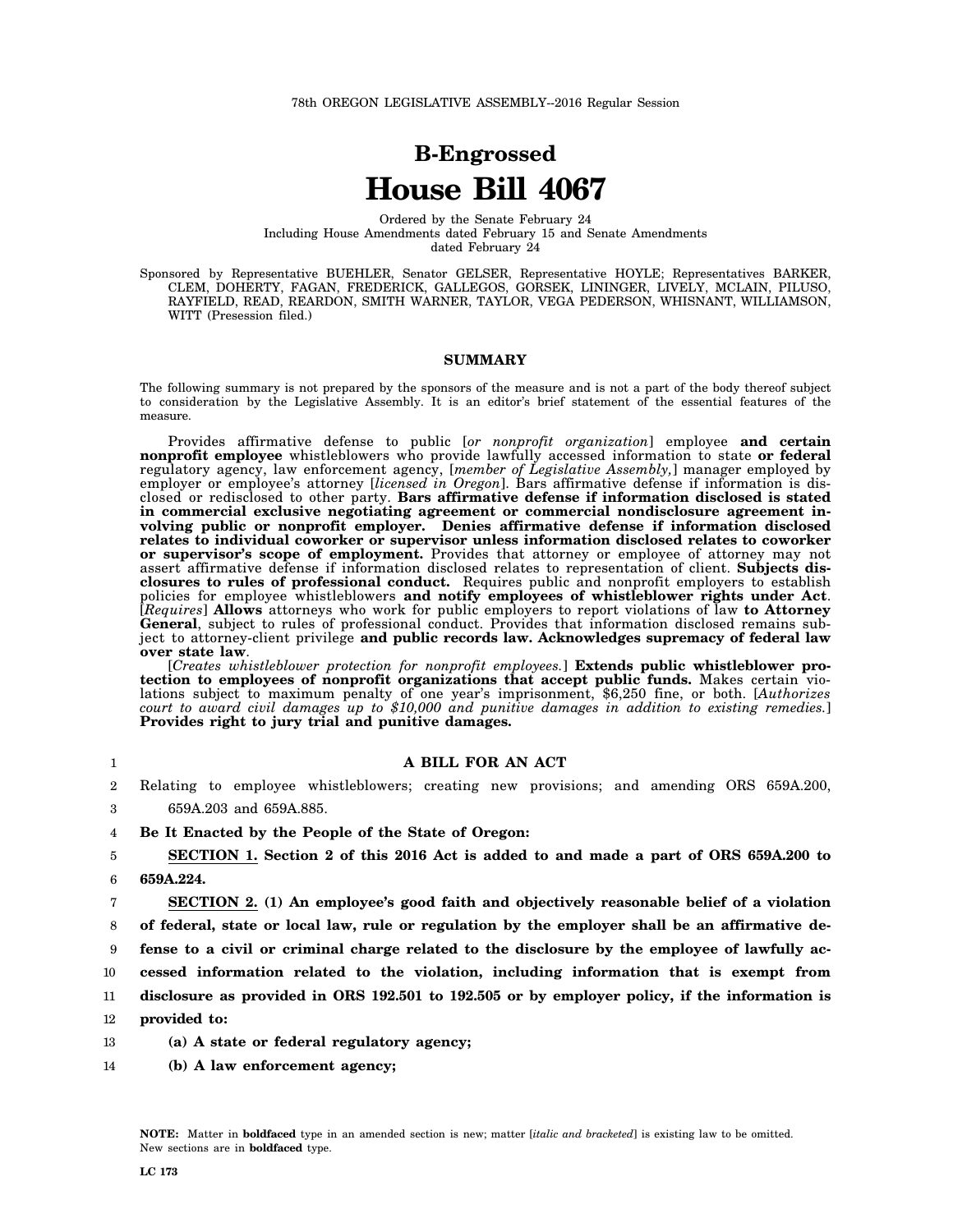# **B-Engrossed House Bill 4067**

Ordered by the Senate February 24 Including House Amendments dated February 15 and Senate Amendments dated February 24

Sponsored by Representative BUEHLER, Senator GELSER, Representative HOYLE; Representatives BARKER, CLEM, DOHERTY, FAGAN, FREDERICK, GALLEGOS, GORSEK, LININGER, LIVELY, MCLAIN, PILUSO, RAYFIELD, READ, REARDON, SMITH WARNER, TAYLOR, VEGA PEDERSON, WHISNANT, WILLIAMSON, WITT (Presession filed.)

#### **SUMMARY**

The following summary is not prepared by the sponsors of the measure and is not a part of the body thereof subject to consideration by the Legislative Assembly. It is an editor's brief statement of the essential features of the measure.

Provides affirmative defense to public [*or nonprofit organization*] employee **and certain nonprofit employee** whistleblowers who provide lawfully accessed information to state **or federal** regulatory agency, law enforcement agency, [*member of Legislative Assembly,*] manager employed by employer or employee's attorney [*licensed in Oregon*]. Bars affirmative defense if information is disclosed or redisclosed to other party. **Bars affirmative defense if information disclosed is stated in commercial exclusive negotiating agreement or commercial nondisclosure agreement involving public or nonprofit employer. Denies affirmative defense if information disclosed relates to individual coworker or supervisor unless information disclosed relates to coworker or supervisor's scope of employment.** Provides that attorney or employee of attorney may not assert affirmative defense if information disclosed relates to representation of client. **Subjects disclosures to rules of professional conduct.** Requires public and nonprofit employers to establish policies for employee whistleblowers **and notify employees of whistleblower rights under Act**. [*Requires*] **Allows** attorneys who work for public employers to report violations of law **to Attorney General**, subject to rules of professional conduct. Provides that information disclosed remains subject to attorney-client privilege **and public records law. Acknowledges supremacy of federal law over state law**.

[*Creates whistleblower protection for nonprofit employees.*] **Extends public whistleblower protection to employees of nonprofit organizations that accept public funds.** Makes certain violations subject to maximum penalty of one year's imprisonment, \$6,250 fine, or both. [*Authorizes court to award civil damages up to \$10,000 and punitive damages in addition to existing remedies.*] **Provides right to jury trial and punitive damages.**

1

#### **A BILL FOR AN ACT**

- $\mathcal{D}$ Relating to employee whistleblowers; creating new provisions; and amending ORS 659A.200,
- 3 659A.203 and 659A.885.
- 4 **Be It Enacted by the People of the State of Oregon:**
- 5 6 **SECTION 1. Section 2 of this 2016 Act is added to and made a part of ORS 659A.200 to 659A.224.**
- 7 **SECTION 2. (1) An employee's good faith and objectively reasonable belief of a violation**

8 **of federal, state or local law, rule or regulation by the employer shall be an affirmative de-**

9 **fense to a civil or criminal charge related to the disclosure by the employee of lawfully ac-**

10 **cessed information related to the violation, including information that is exempt from**

11 **disclosure as provided in ORS 192.501 to 192.505 or by employer policy, if the information is**

12 **provided to:**

- 13 **(a) A state or federal regulatory agency;**
- 14 **(b) A law enforcement agency;**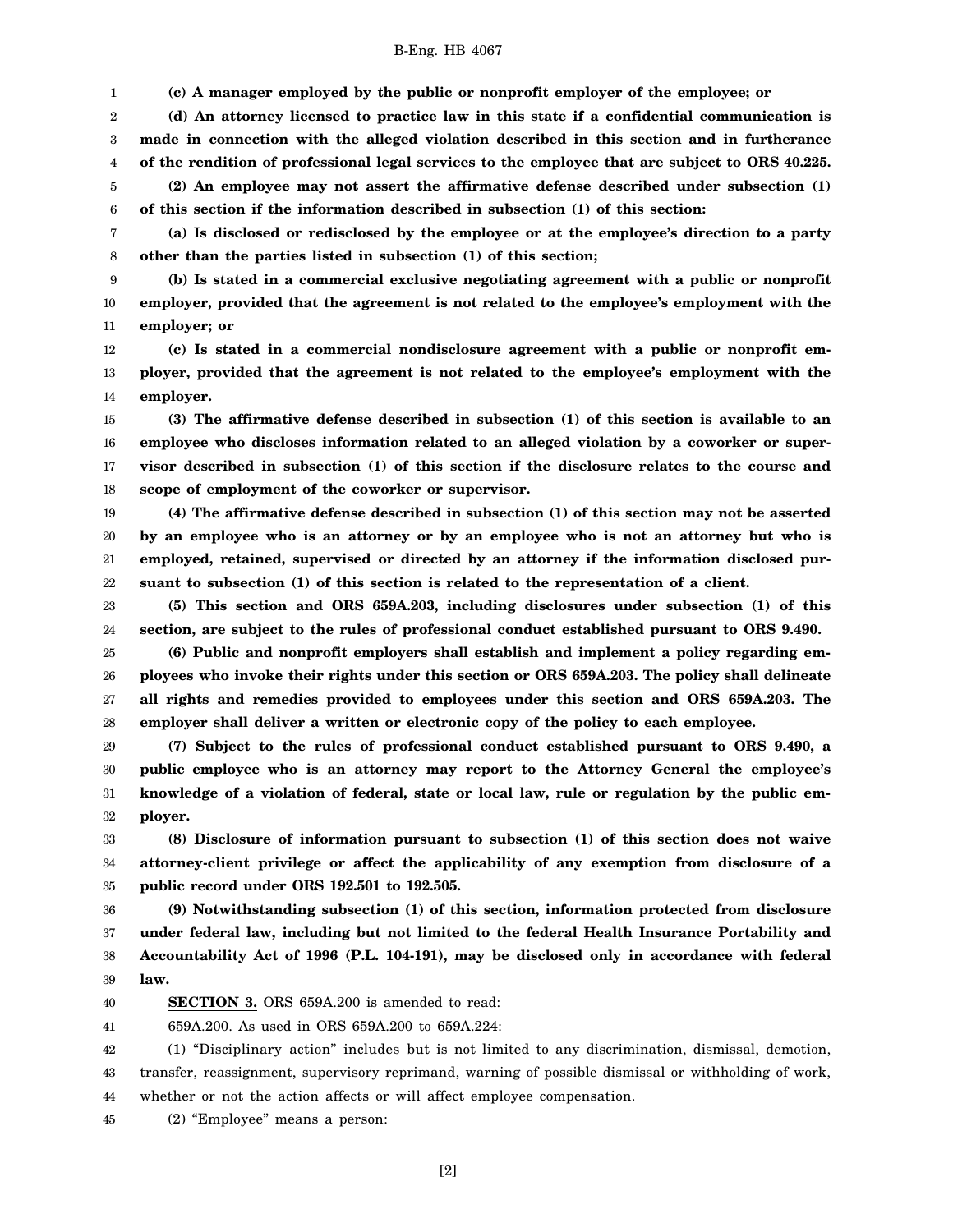**(c) A manager employed by the public or nonprofit employer of the employee; or**

1

2 3 4 5 6 **(d) An attorney licensed to practice law in this state if a confidential communication is made in connection with the alleged violation described in this section and in furtherance of the rendition of professional legal services to the employee that are subject to ORS 40.225. (2) An employee may not assert the affirmative defense described under subsection (1) of this section if the information described in subsection (1) of this section:**

7 8 **(a) Is disclosed or redisclosed by the employee or at the employee's direction to a party other than the parties listed in subsection (1) of this section;**

9 10 11 **(b) Is stated in a commercial exclusive negotiating agreement with a public or nonprofit employer, provided that the agreement is not related to the employee's employment with the employer; or**

12 13 14 **(c) Is stated in a commercial nondisclosure agreement with a public or nonprofit employer, provided that the agreement is not related to the employee's employment with the employer.**

15 16 17 18 **(3) The affirmative defense described in subsection (1) of this section is available to an employee who discloses information related to an alleged violation by a coworker or supervisor described in subsection (1) of this section if the disclosure relates to the course and scope of employment of the coworker or supervisor.**

19 20 21 22 **(4) The affirmative defense described in subsection (1) of this section may not be asserted by an employee who is an attorney or by an employee who is not an attorney but who is employed, retained, supervised or directed by an attorney if the information disclosed pursuant to subsection (1) of this section is related to the representation of a client.**

23 24 **(5) This section and ORS 659A.203, including disclosures under subsection (1) of this section, are subject to the rules of professional conduct established pursuant to ORS 9.490.**

25 26 27 28 **(6) Public and nonprofit employers shall establish and implement a policy regarding employees who invoke their rights under this section or ORS 659A.203. The policy shall delineate all rights and remedies provided to employees under this section and ORS 659A.203. The employer shall deliver a written or electronic copy of the policy to each employee.**

29 30 31 32 **(7) Subject to the rules of professional conduct established pursuant to ORS 9.490, a public employee who is an attorney may report to the Attorney General the employee's knowledge of a violation of federal, state or local law, rule or regulation by the public employer.**

33 34 35 **(8) Disclosure of information pursuant to subsection (1) of this section does not waive attorney-client privilege or affect the applicability of any exemption from disclosure of a public record under ORS 192.501 to 192.505.**

36 37 38 39 **(9) Notwithstanding subsection (1) of this section, information protected from disclosure under federal law, including but not limited to the federal Health Insurance Portability and Accountability Act of 1996 (P.L. 104-191), may be disclosed only in accordance with federal law.**

40 **SECTION 3.** ORS 659A.200 is amended to read:

41 659A.200. As used in ORS 659A.200 to 659A.224:

42 43 44 (1) "Disciplinary action" includes but is not limited to any discrimination, dismissal, demotion, transfer, reassignment, supervisory reprimand, warning of possible dismissal or withholding of work, whether or not the action affects or will affect employee compensation.

45 (2) "Employee" means a person: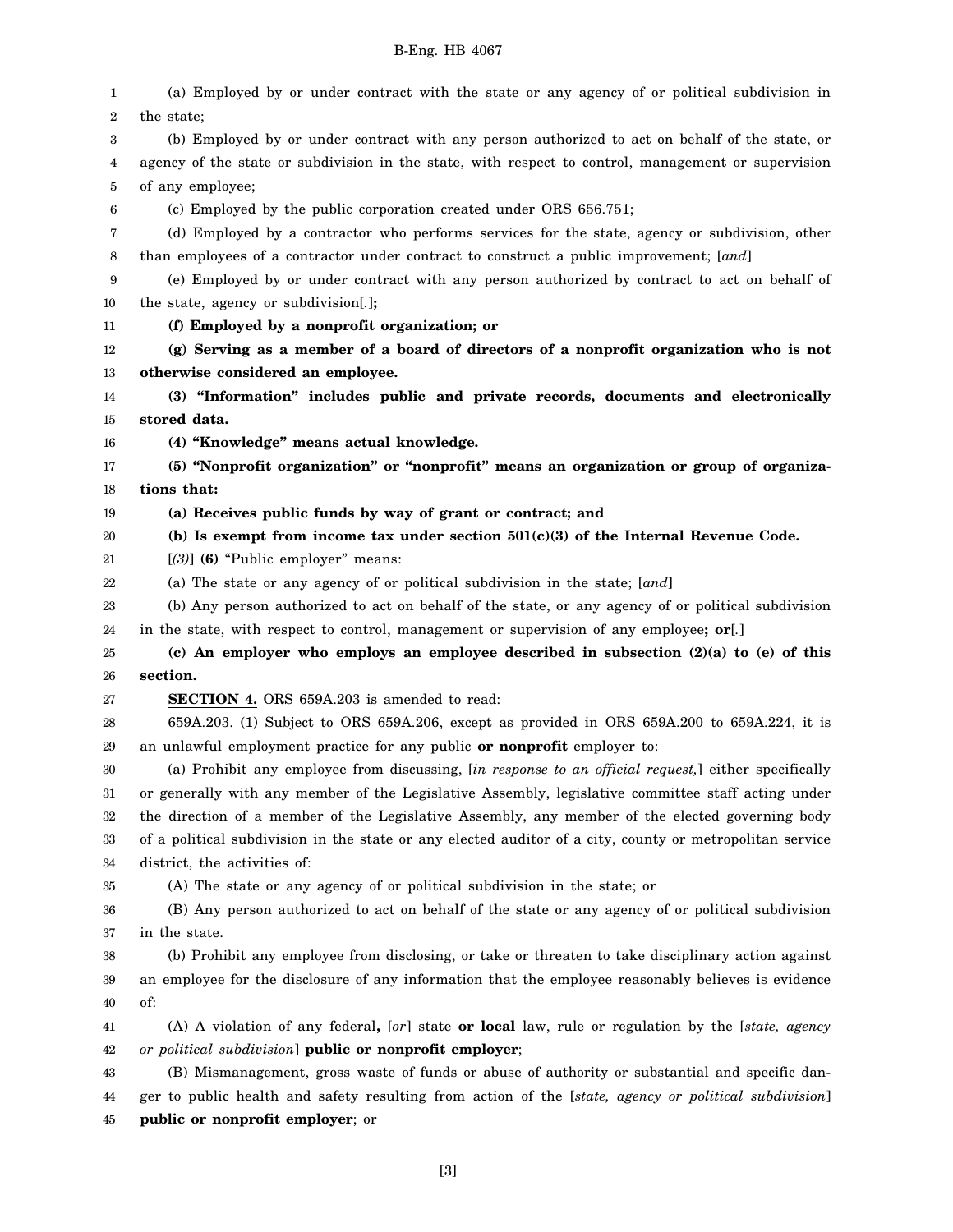| 1      | (a) Employed by or under contract with the state or any agency of or political subdivision in            |
|--------|----------------------------------------------------------------------------------------------------------|
| 2      | the state;                                                                                               |
| 3      | (b) Employed by or under contract with any person authorized to act on behalf of the state, or           |
| 4      | agency of the state or subdivision in the state, with respect to control, management or supervision      |
| 5      | of any employee;                                                                                         |
| 6      | (c) Employed by the public corporation created under ORS 656.751;                                        |
| 7      | (d) Employed by a contractor who performs services for the state, agency or subdivision, other           |
| 8      | than employees of a contractor under contract to construct a public improvement; [and]                   |
| 9      | (e) Employed by or under contract with any person authorized by contract to act on behalf of             |
| 10     | the state, agency or subdivision[.];                                                                     |
| 11     | (f) Employed by a nonprofit organization; or                                                             |
| 12     | (g) Serving as a member of a board of directors of a nonprofit organization who is not                   |
| 13     | otherwise considered an employee.                                                                        |
| 14     | (3) "Information" includes public and private records, documents and electronically                      |
| 15     | stored data.                                                                                             |
| 16     | (4) "Knowledge" means actual knowledge.                                                                  |
| 17     | (5) "Nonprofit organization" or "nonprofit" means an organization or group of organiza-                  |
| 18     | tions that:                                                                                              |
| 19     | (a) Receives public funds by way of grant or contract; and                                               |
| 20     | (b) Is exempt from income tax under section $501(c)(3)$ of the Internal Revenue Code.                    |
| 21     | $[(3)]$ (6) "Public employer" means:                                                                     |
| 22     | (a) The state or any agency of or political subdivision in the state; [and]                              |
| 23     | (b) Any person authorized to act on behalf of the state, or any agency of or political subdivision       |
| 24     | in the state, with respect to control, management or supervision of any employee; or[.]                  |
| 25     | (c) An employer who employs an employee described in subsection $(2)(a)$ to $(e)$ of this                |
| 26     | section.                                                                                                 |
| 27     | <b>SECTION 4.</b> ORS 659A.203 is amended to read:                                                       |
| 28     | 659A.203. (1) Subject to ORS 659A.206, except as provided in ORS 659A.200 to 659A.224, it is             |
| 29     | an unlawful employment practice for any public or nonprofit employer to:                                 |
| 30     | (a) Prohibit any employee from discussing, [in response to an official request,] either specifically     |
| $31\,$ | or generally with any member of the Legislative Assembly, legislative committee staff acting under       |
| 32     | the direction of a member of the Legislative Assembly, any member of the elected governing body          |
| 33     | of a political subdivision in the state or any elected auditor of a city, county or metropolitan service |
| 34     | district, the activities of:                                                                             |
| 35     | (A) The state or any agency of or political subdivision in the state; or                                 |
| 36     | (B) Any person authorized to act on behalf of the state or any agency of or political subdivision        |
| 37     | in the state.                                                                                            |
| 38     | (b) Prohibit any employee from disclosing, or take or threaten to take disciplinary action against       |
| 39     | an employee for the disclosure of any information that the employee reasonably believes is evidence      |
| 40     | of:                                                                                                      |
| 41     | (A) A violation of any federal, [or] state or local law, rule or regulation by the [state, agency        |
| 42     | or political subdivision] public or nonprofit employer;                                                  |
| 43     | (B) Mismanagement, gross waste of funds or abuse of authority or substantial and specific dan-           |
| 44     | ger to public health and safety resulting from action of the [state, agency or political subdivision]    |
| 45     | public or nonprofit employer; or                                                                         |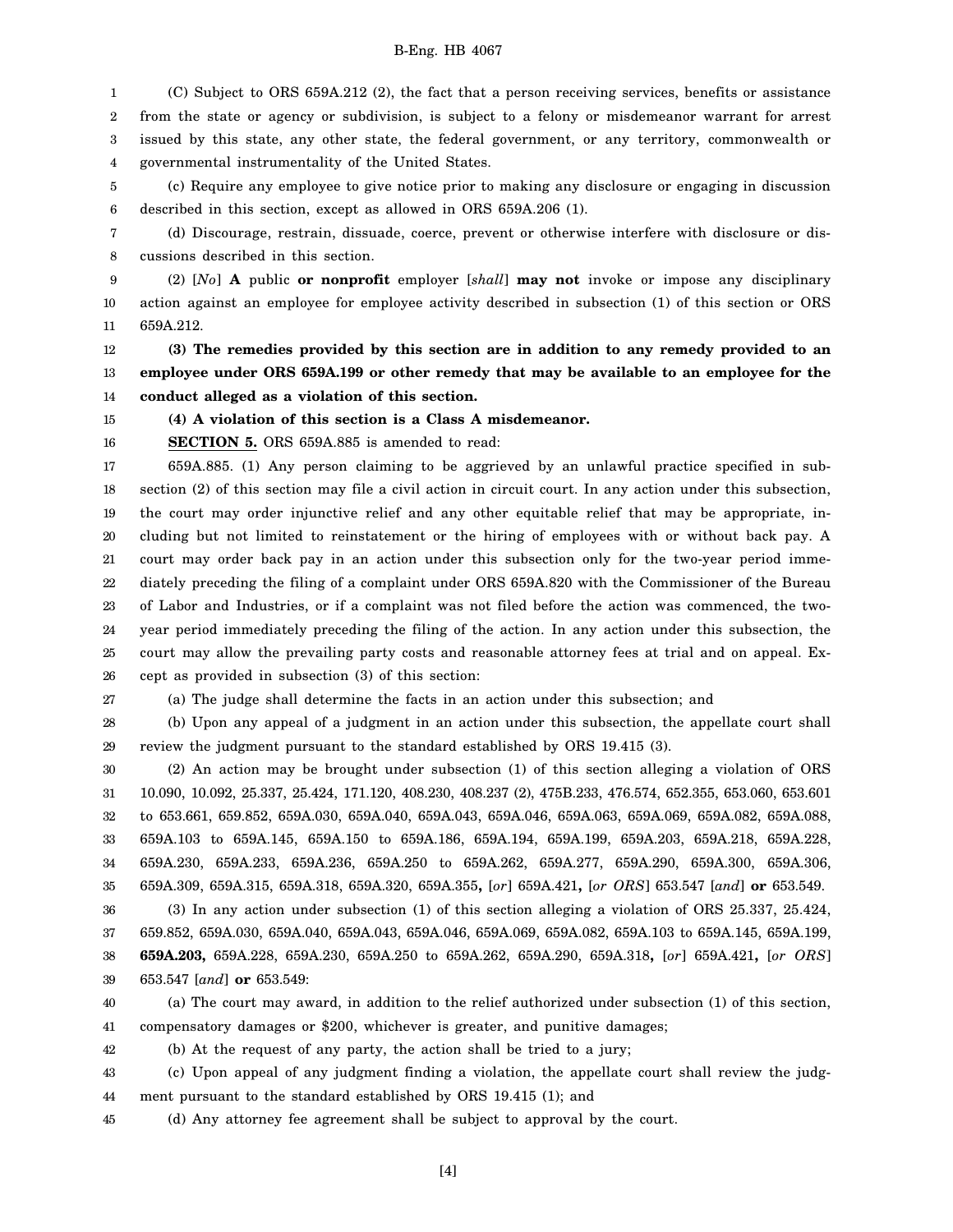1 2 3 4 (C) Subject to ORS 659A.212 (2), the fact that a person receiving services, benefits or assistance from the state or agency or subdivision, is subject to a felony or misdemeanor warrant for arrest issued by this state, any other state, the federal government, or any territory, commonwealth or governmental instrumentality of the United States.

5 6 (c) Require any employee to give notice prior to making any disclosure or engaging in discussion described in this section, except as allowed in ORS 659A.206 (1).

7 8 (d) Discourage, restrain, dissuade, coerce, prevent or otherwise interfere with disclosure or discussions described in this section.

9 10 11 (2) [*No*] **A** public **or nonprofit** employer [*shall*] **may not** invoke or impose any disciplinary action against an employee for employee activity described in subsection (1) of this section or ORS 659A.212.

12 13 14 **(3) The remedies provided by this section are in addition to any remedy provided to an employee under ORS 659A.199 or other remedy that may be available to an employee for the conduct alleged as a violation of this section.**

15 **(4) A violation of this section is a Class A misdemeanor.**

16 **SECTION 5.** ORS 659A.885 is amended to read:

17 18 19 20 21 22 23 24 25 26 659A.885. (1) Any person claiming to be aggrieved by an unlawful practice specified in subsection (2) of this section may file a civil action in circuit court. In any action under this subsection, the court may order injunctive relief and any other equitable relief that may be appropriate, including but not limited to reinstatement or the hiring of employees with or without back pay. A court may order back pay in an action under this subsection only for the two-year period immediately preceding the filing of a complaint under ORS 659A.820 with the Commissioner of the Bureau of Labor and Industries, or if a complaint was not filed before the action was commenced, the twoyear period immediately preceding the filing of the action. In any action under this subsection, the court may allow the prevailing party costs and reasonable attorney fees at trial and on appeal. Except as provided in subsection (3) of this section:

27

(a) The judge shall determine the facts in an action under this subsection; and

28 29 (b) Upon any appeal of a judgment in an action under this subsection, the appellate court shall review the judgment pursuant to the standard established by ORS 19.415 (3).

30 31 32 33 34 35 (2) An action may be brought under subsection (1) of this section alleging a violation of ORS 10.090, 10.092, 25.337, 25.424, 171.120, 408.230, 408.237 (2), 475B.233, 476.574, 652.355, 653.060, 653.601 to 653.661, 659.852, 659A.030, 659A.040, 659A.043, 659A.046, 659A.063, 659A.069, 659A.082, 659A.088, 659A.103 to 659A.145, 659A.150 to 659A.186, 659A.194, 659A.199, 659A.203, 659A.218, 659A.228, 659A.230, 659A.233, 659A.236, 659A.250 to 659A.262, 659A.277, 659A.290, 659A.300, 659A.306, 659A.309, 659A.315, 659A.318, 659A.320, 659A.355**,** [*or*] 659A.421**,** [*or ORS*] 653.547 [*and*] **or** 653.549.

36 37 38 39 (3) In any action under subsection (1) of this section alleging a violation of ORS 25.337, 25.424, 659.852, 659A.030, 659A.040, 659A.043, 659A.046, 659A.069, 659A.082, 659A.103 to 659A.145, 659A.199, **659A.203,** 659A.228, 659A.230, 659A.250 to 659A.262, 659A.290, 659A.318**,** [*or*] 659A.421**,** [*or ORS*] 653.547 [*and*] **or** 653.549:

40 41 (a) The court may award, in addition to the relief authorized under subsection (1) of this section, compensatory damages or \$200, whichever is greater, and punitive damages;

42 (b) At the request of any party, the action shall be tried to a jury;

43 44 (c) Upon appeal of any judgment finding a violation, the appellate court shall review the judgment pursuant to the standard established by ORS 19.415 (1); and

45 (d) Any attorney fee agreement shall be subject to approval by the court.

[4]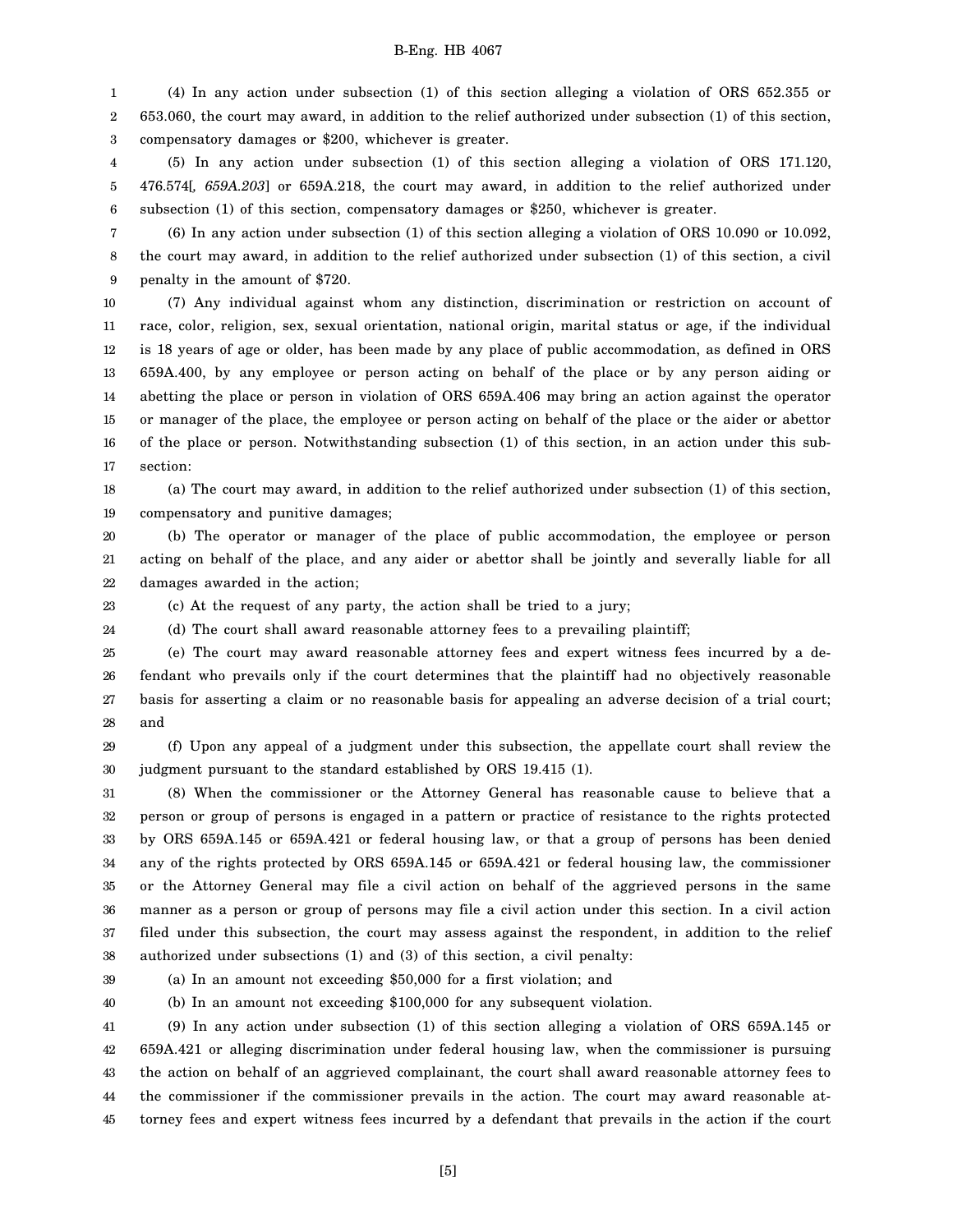1 2 3 (4) In any action under subsection (1) of this section alleging a violation of ORS 652.355 or 653.060, the court may award, in addition to the relief authorized under subsection (1) of this section, compensatory damages or \$200, whichever is greater.

4 5 6 (5) In any action under subsection (1) of this section alleging a violation of ORS 171.120, 476.574[*, 659A.203*] or 659A.218, the court may award, in addition to the relief authorized under subsection (1) of this section, compensatory damages or \$250, whichever is greater.

7 8 9 (6) In any action under subsection (1) of this section alleging a violation of ORS 10.090 or 10.092, the court may award, in addition to the relief authorized under subsection (1) of this section, a civil penalty in the amount of \$720.

10 11 12 13 14 15 16 17 (7) Any individual against whom any distinction, discrimination or restriction on account of race, color, religion, sex, sexual orientation, national origin, marital status or age, if the individual is 18 years of age or older, has been made by any place of public accommodation, as defined in ORS 659A.400, by any employee or person acting on behalf of the place or by any person aiding or abetting the place or person in violation of ORS 659A.406 may bring an action against the operator or manager of the place, the employee or person acting on behalf of the place or the aider or abettor of the place or person. Notwithstanding subsection (1) of this section, in an action under this subsection:

18 19 (a) The court may award, in addition to the relief authorized under subsection (1) of this section, compensatory and punitive damages;

20 21 22 (b) The operator or manager of the place of public accommodation, the employee or person acting on behalf of the place, and any aider or abettor shall be jointly and severally liable for all damages awarded in the action;

23 24 (c) At the request of any party, the action shall be tried to a jury;

(d) The court shall award reasonable attorney fees to a prevailing plaintiff;

25 26 27 28 (e) The court may award reasonable attorney fees and expert witness fees incurred by a defendant who prevails only if the court determines that the plaintiff had no objectively reasonable basis for asserting a claim or no reasonable basis for appealing an adverse decision of a trial court; and

29 30 (f) Upon any appeal of a judgment under this subsection, the appellate court shall review the judgment pursuant to the standard established by ORS 19.415 (1).

31 32 33 34 35 36 37 38 (8) When the commissioner or the Attorney General has reasonable cause to believe that a person or group of persons is engaged in a pattern or practice of resistance to the rights protected by ORS 659A.145 or 659A.421 or federal housing law, or that a group of persons has been denied any of the rights protected by ORS 659A.145 or 659A.421 or federal housing law, the commissioner or the Attorney General may file a civil action on behalf of the aggrieved persons in the same manner as a person or group of persons may file a civil action under this section. In a civil action filed under this subsection, the court may assess against the respondent, in addition to the relief authorized under subsections (1) and (3) of this section, a civil penalty:

39 40 (a) In an amount not exceeding \$50,000 for a first violation; and

(b) In an amount not exceeding \$100,000 for any subsequent violation.

41 42 43 44 45 (9) In any action under subsection (1) of this section alleging a violation of ORS 659A.145 or 659A.421 or alleging discrimination under federal housing law, when the commissioner is pursuing the action on behalf of an aggrieved complainant, the court shall award reasonable attorney fees to the commissioner if the commissioner prevails in the action. The court may award reasonable attorney fees and expert witness fees incurred by a defendant that prevails in the action if the court